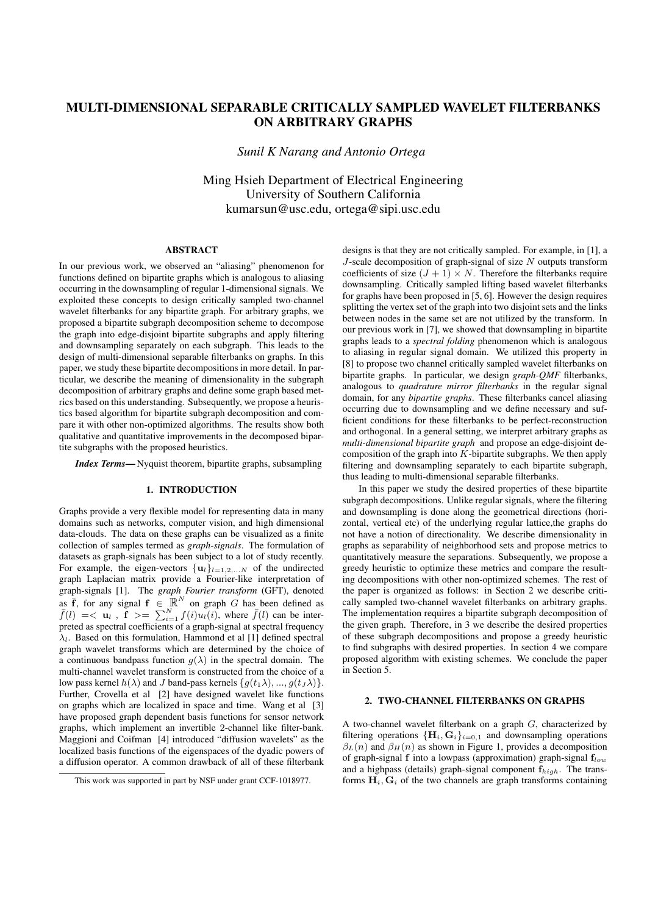# MULTI-DIMENSIONAL SEPARABLE CRITICALLY SAMPLED WAVELET FILTERBANKS ON ARBITRARY GRAPHS

*Sunil K Narang and Antonio Ortega*

Ming Hsieh Department of Electrical Engineering University of Southern California kumarsun@usc.edu, ortega@sipi.usc.edu

## ABSTRACT

In our previous work, we observed an "aliasing" phenomenon for functions defined on bipartite graphs which is analogous to aliasing occurring in the downsampling of regular 1-dimensional signals. We exploited these concepts to design critically sampled two-channel wavelet filterbanks for any bipartite graph. For arbitrary graphs, we proposed a bipartite subgraph decomposition scheme to decompose the graph into edge-disjoint bipartite subgraphs and apply filtering and downsampling separately on each subgraph. This leads to the design of multi-dimensional separable filterbanks on graphs. In this paper, we study these bipartite decompositions in more detail. In particular, we describe the meaning of dimensionality in the subgraph decomposition of arbitrary graphs and define some graph based metrics based on this understanding. Subsequently, we propose a heuristics based algorithm for bipartite subgraph decomposition and compare it with other non-optimized algorithms. The results show both qualitative and quantitative improvements in the decomposed bipartite subgraphs with the proposed heuristics.

*Index Terms*— Nyquist theorem, bipartite graphs, subsampling

#### 1. INTRODUCTION

Graphs provide a very flexible model for representing data in many domains such as networks, computer vision, and high dimensional data-clouds. The data on these graphs can be visualized as a finite collection of samples termed as *graph-signals*. The formulation of datasets as graph-signals has been subject to a lot of study recently. For example, the eigen-vectors  $\{u_l\}_{l=1,2,...N}$  of the undirected graph Laplacian matrix provide a Fourier-like interpretation of graph-signals [1]. The *graph Fourier transform* (GFT), denoted as  $\overline{f}$ , for any signal  $f \in \mathbb{R}^N$  on graph G has been defined as  $\bar{f}(l) = \langle \mathbf{u}_l, \mathbf{f} \rangle = \sum_{i=1}^{N} f(i) u_l(i)$ , where  $\bar{f}(l)$  can be interpreted as spectral coefficients of a graph-signal at spectral frequency  $\lambda_l$ . Based on this formulation, Hammond et al [1] defined spectral graph wavelet transforms which are determined by the choice of a continuous bandpass function  $q(\lambda)$  in the spectral domain. The multi-channel wavelet transform is constructed from the choice of a low pass kernel  $h(\lambda)$  and J band-pass kernels  $\{g(t_1\lambda),..., g(t_J\lambda)\}.$ Further, Crovella et al [2] have designed wavelet like functions on graphs which are localized in space and time. Wang et al [3] have proposed graph dependent basis functions for sensor network graphs, which implement an invertible 2-channel like filter-bank. Maggioni and Coifman [4] introduced "diffusion wavelets" as the localized basis functions of the eigenspaces of the dyadic powers of a diffusion operator. A common drawback of all of these filterbank

designs is that they are not critically sampled. For example, in [1], a  $J$ -scale decomposition of graph-signal of size  $N$  outputs transform coefficients of size  $(J + 1) \times N$ . Therefore the filterbanks require downsampling. Critically sampled lifting based wavelet filterbanks for graphs have been proposed in [5, 6]. However the design requires splitting the vertex set of the graph into two disjoint sets and the links between nodes in the same set are not utilized by the transform. In our previous work in [7], we showed that downsampling in bipartite graphs leads to a *spectral folding* phenomenon which is analogous to aliasing in regular signal domain. We utilized this property in [8] to propose two channel critically sampled wavelet filterbanks on bipartite graphs. In particular, we design *graph-QMF* filterbanks, analogous to *quadrature mirror filterbanks* in the regular signal domain, for any *bipartite graphs*. These filterbanks cancel aliasing occurring due to downsampling and we define necessary and sufficient conditions for these filterbanks to be perfect-reconstruction and orthogonal. In a general setting, we interpret arbitrary graphs as *multi-dimensional bipartite graph* and propose an edge-disjoint decomposition of the graph into  $K$ -bipartite subgraphs. We then apply filtering and downsampling separately to each bipartite subgraph, thus leading to multi-dimensional separable filterbanks.

In this paper we study the desired properties of these bipartite subgraph decompositions. Unlike regular signals, where the filtering and downsampling is done along the geometrical directions (horizontal, vertical etc) of the underlying regular lattice,the graphs do not have a notion of directionality. We describe dimensionality in graphs as separability of neighborhood sets and propose metrics to quantitatively measure the separations. Subsequently, we propose a greedy heuristic to optimize these metrics and compare the resulting decompositions with other non-optimized schemes. The rest of the paper is organized as follows: in Section 2 we describe critically sampled two-channel wavelet filterbanks on arbitrary graphs. The implementation requires a bipartite subgraph decomposition of the given graph. Therefore, in 3 we describe the desired properties of these subgraph decompositions and propose a greedy heuristic to find subgraphs with desired properties. In section 4 we compare proposed algorithm with existing schemes. We conclude the paper in Section 5.

#### 2. TWO-CHANNEL FILTERBANKS ON GRAPHS

A two-channel wavelet filterbank on a graph  $G$ , characterized by filtering operations  ${H_i, G_i}_{i=0,1}$  and downsampling operations  $\beta_L(n)$  and  $\beta_H(n)$  as shown in Figure 1, provides a decomposition of graph-signal f into a lowpass (approximation) graph-signal  $f_{low}$ and a highpass (details) graph-signal component  $f_{high}$ . The transforms  $H_i$ ,  $G_i$  of the two channels are graph transforms containing

This work was supported in part by NSF under grant CCF-1018977.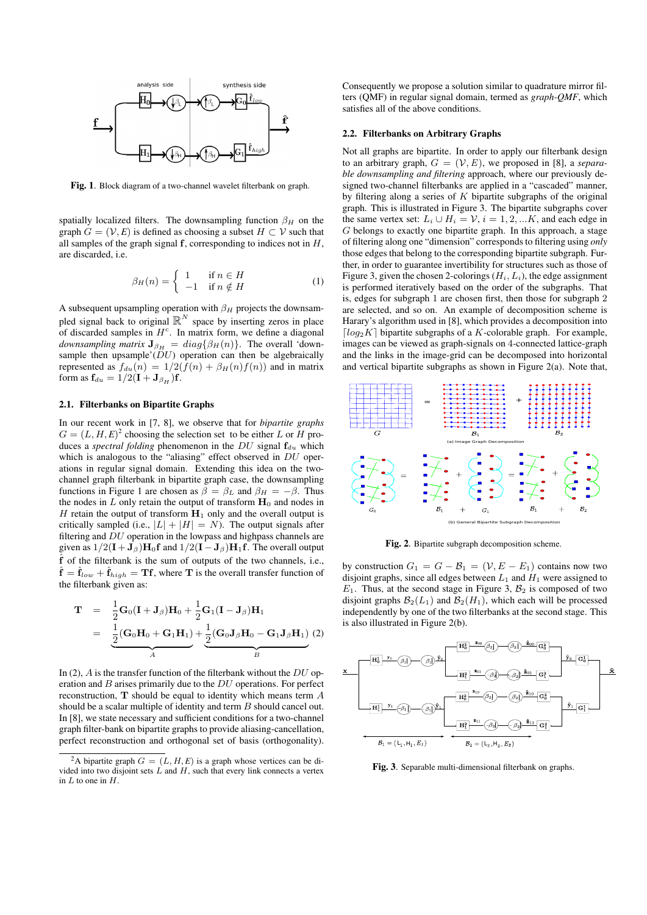

Fig. 1. Block diagram of a two-channel wavelet filterbank on graph.

spatially localized filters. The downsampling function  $\beta_H$  on the graph  $G = (\mathcal{V}, E)$  is defined as choosing a subset  $H \subset \mathcal{V}$  such that all samples of the graph signal  $f$ , corresponding to indices not in  $H$ , are discarded, i.e.

$$
\beta_H(n) = \begin{cases} 1 & \text{if } n \in H \\ -1 & \text{if } n \notin H \end{cases}
$$
 (1)

A subsequent upsampling operation with  $\beta_H$  projects the downsampled signal back to original  $\mathbb{R}^N$  space by inserting zeros in place of discarded samples in  $H<sup>c</sup>$ . In matrix form, we define a diagonal *downsampling matrix*  $J_{\beta_{H}} = diag\{\beta_{H}(n)\}\$ . The overall 'downsample then upsample' $(\overleftrightarrow{DU})$  operation can then be algebraically represented as  $f_{du}(n) = 1/2(\bar{f}(n) + \beta_H(n)f(n))$  and in matrix form as  $\mathbf{f}_{du} = 1/2(\mathbf{I} + \mathbf{J}_{\beta_H})\mathbf{f}$ .

#### 2.1. Filterbanks on Bipartite Graphs

In our recent work in [7, 8], we observe that for *bipartite graphs*  $G = (L, H, E)^2$  choosing the selection set to be either L or H produces a *spectral folding* phenomenon in the  $DU$  signal  $f_{du}$  which which is analogous to the "aliasing" effect observed in  $DU$  operations in regular signal domain. Extending this idea on the twochannel graph filterbank in bipartite graph case, the downsampling functions in Figure 1 are chosen as  $\beta = \beta_L$  and  $\beta_H = -\beta$ . Thus the nodes in  $L$  only retain the output of transform  $H_0$  and nodes in H retain the output of transform  $H_1$  only and the overall output is critically sampled (i.e.,  $|L| + |H| = N$ ). The output signals after filtering and DU operation in the lowpass and highpass channels are given as  $1/2(\mathbf{I} + \mathbf{J}_{\beta})\mathbf{H}_0\mathbf{f}$  and  $1/2(\mathbf{I} - \mathbf{J}_{\beta})\mathbf{H}_1\mathbf{f}$ . The overall output ˆf of the filterbank is the sum of outputs of the two channels, i.e.,  $\mathbf{\hat{f}} = \mathbf{\hat{f}}_{low} + \mathbf{\hat{f}}_{high} = \mathbf{T}\mathbf{f}$ , where T is the overall transfer function of the filterbank given as:

$$
\mathbf{T} = \frac{1}{2}\mathbf{G}_0(\mathbf{I} + \mathbf{J}_{\beta})\mathbf{H}_0 + \frac{1}{2}\mathbf{G}_1(\mathbf{I} - \mathbf{J}_{\beta})\mathbf{H}_1
$$
  
= 
$$
\underbrace{\frac{1}{2}(\mathbf{G}_0\mathbf{H}_0 + \mathbf{G}_1\mathbf{H}_1)}_{A} + \underbrace{\frac{1}{2}(\mathbf{G}_0\mathbf{J}_{\beta}\mathbf{H}_0 - \mathbf{G}_1\mathbf{J}_{\beta}\mathbf{H}_1)}_{B} (2)
$$

In (2),  $\vec{A}$  is the transfer function of the filterbank without the  $DU$  operation and  $B$  arises primarily due to the  $DU$  operations. For perfect reconstruction, T should be equal to identity which means term A should be a scalar multiple of identity and term B should cancel out. In [8], we state necessary and sufficient conditions for a two-channel graph filter-bank on bipartite graphs to provide aliasing-cancellation, perfect reconstruction and orthogonal set of basis (orthogonality).

Consequently we propose a solution similar to quadrature mirror filters (QMF) in regular signal domain, termed as *graph-QMF*, which satisfies all of the above conditions.

#### 2.2. Filterbanks on Arbitrary Graphs

Not all graphs are bipartite. In order to apply our filterbank design to an arbitrary graph,  $G = (V, E)$ , we proposed in [8], a *separable downsampling and filtering* approach, where our previously designed two-channel filterbanks are applied in a "cascaded" manner, by filtering along a series of  $K$  bipartite subgraphs of the original graph. This is illustrated in Figure 3. The bipartite subgraphs cover the same vertex set:  $L_i \cup H_i = \mathcal{V}, i = 1, 2, ... K$ , and each edge in G belongs to exactly one bipartite graph. In this approach, a stage of filtering along one "dimension" corresponds to filtering using *only* those edges that belong to the corresponding bipartite subgraph. Further, in order to guarantee invertibility for structures such as those of Figure 3, given the chosen 2-colorings  $(H_i, L_i)$ , the edge assignment is performed iteratively based on the order of the subgraphs. That is, edges for subgraph 1 are chosen first, then those for subgraph 2 are selected, and so on. An example of decomposition scheme is Harary's algorithm used in [8], which provides a decomposition into  $\lceil log_2 K \rceil$  bipartite subgraphs of a K-colorable graph. For example, images can be viewed as graph-signals on 4-connected lattice-graph and the links in the image-grid can be decomposed into horizontal and vertical bipartite subgraphs as shown in Figure 2(a). Note that,



Fig. 2. Bipartite subgraph decomposition scheme.

by construction  $G_1 = G - B_1 = (V, E - E_1)$  contains now two disjoint graphs, since all edges between  $L_1$  and  $H_1$  were assigned to  $E_1$ . Thus, at the second stage in Figure 3,  $\mathcal{B}_2$  is composed of two disjoint graphs  $\mathcal{B}_2(L_1)$  and  $\mathcal{B}_2(H_1)$ , which each will be processed independently by one of the two filterbanks at the second stage. This is also illustrated in Figure 2(b).



Fig. 3. Separable multi-dimensional filterbank on graphs.

<sup>&</sup>lt;sup>2</sup>A bipartite graph  $G = (L, H, E)$  is a graph whose vertices can be divided into two disjoint sets  $\hat{L}$  and  $\hat{H}$ , such that every link connects a vertex in  $L$  to one in  $H$ .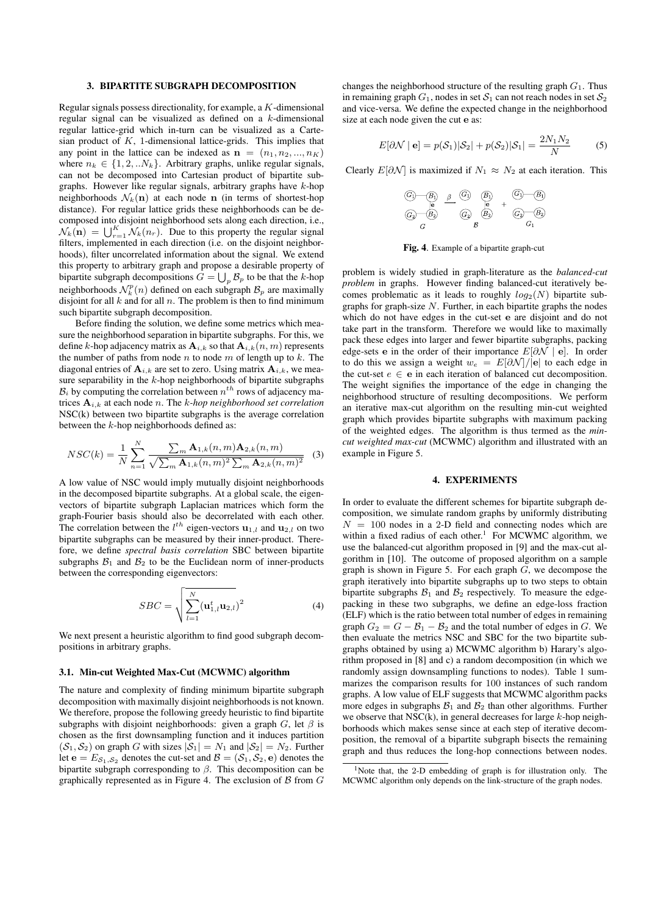#### 3. BIPARTITE SUBGRAPH DECOMPOSITION

Regular signals possess directionality, for example, a K-dimensional regular signal can be visualized as defined on a k-dimensional regular lattice-grid which in-turn can be visualized as a Cartesian product of  $K$ , 1-dimensional lattice-grids. This implies that any point in the lattice can be indexed as  $\mathbf{n} = (n_1, n_2, ..., n_K)$ where  $n_k \in \{1, 2, \ldots N_k\}$ . Arbitrary graphs, unlike regular signals, can not be decomposed into Cartesian product of bipartite subgraphs. However like regular signals, arbitrary graphs have k-hop neighborhoods  $\mathcal{N}_k(\mathbf{n})$  at each node **n** (in terms of shortest-hop distance). For regular lattice grids these neighborhoods can be decomposed into disjoint neighborhood sets along each direction, i.e.,  $\mathcal{N}_k(\mathbf{n}) = \bigcup_{r=1}^K \mathcal{N}_k(n_r)$ . Due to this property the regular signal filters, implemented in each direction (i.e. on the disjoint neighborhoods), filter uncorrelated information about the signal. We extend this property to arbitrary graph and propose a desirable property of bipartite subgraph decompositions  $G = \bigcup_p \mathcal{B}_p$  to be that the k-hop neighborhoods  $\mathcal{N}_k^p(n)$  defined on each subgraph  $\mathcal{B}_p$  are maximally disjoint for all  $k$  and for all  $n$ . The problem is then to find minimum such bipartite subgraph decomposition.

Before finding the solution, we define some metrics which measure the neighborhood separation in bipartite subgraphs. For this, we define k-hop adjacency matrix as  $A_{i,k}$  so that  $A_{i,k}(n, m)$  represents the number of paths from node  $n$  to node  $m$  of length up to  $k$ . The diagonal entries of  $A_{i,k}$  are set to zero. Using matrix  $A_{i,k}$ , we measure separability in the  $k$ -hop neighborhoods of bipartite subgraphs  $B_i$  by computing the correlation between  $n^{th}$  rows of adjacency matrices Ai,k at each node n. The k*-hop neighborhood set correlation* NSC(k) between two bipartite subgraphs is the average correlation between the k-hop neighborhoods defined as:

$$
NSC(k) = \frac{1}{N} \sum_{n=1}^{N} \frac{\sum_{m} \mathbf{A}_{1,k}(n,m) \mathbf{A}_{2,k}(n,m)}{\sqrt{\sum_{m} \mathbf{A}_{1,k}(n,m)^2 \sum_{m} \mathbf{A}_{2,k}(n,m)^2}} \quad (3)
$$

A low value of NSC would imply mutually disjoint neighborhoods in the decomposed bipartite subgraphs. At a global scale, the eigenvectors of bipartite subgraph Laplacian matrices which form the graph-Fourier basis should also be decorrelated with each other. The correlation between the  $l^{th}$  eigen-vectors  $\mathbf{u}_{1,l}$  and  $\mathbf{u}_{2,l}$  on two bipartite subgraphs can be measured by their inner-product. Therefore, we define *spectral basis correlation* SBC between bipartite subgraphs  $\mathcal{B}_1$  and  $\mathcal{B}_2$  to be the Euclidean norm of inner-products between the corresponding eigenvectors:

$$
SBC = \sqrt{\sum_{l=1}^{N} (\mathbf{u}_{1,l}^{t} \mathbf{u}_{2,l})^{2}}
$$
 (4)

We next present a heuristic algorithm to find good subgraph decompositions in arbitrary graphs.

## 3.1. Min-cut Weighted Max-Cut (MCWMC) algorithm

The nature and complexity of finding minimum bipartite subgraph decomposition with maximally disjoint neighborhoods is not known. We therefore, propose the following greedy heuristic to find bipartite subgraphs with disjoint neighborhoods: given a graph  $G$ , let  $\beta$  is chosen as the first downsampling function and it induces partition  $(S_1, S_2)$  on graph G with sizes  $|S_1| = N_1$  and  $|S_2| = N_2$ . Further let  $e = E_{S_1, S_2}$  denotes the cut-set and  $\mathcal{B} = (\mathcal{S}_1, \mathcal{S}_2, e)$  denotes the bipartite subgraph corresponding to  $\beta$ . This decomposition can be graphically represented as in Figure 4. The exclusion of  $\beta$  from  $G$ 

changes the neighborhood structure of the resulting graph  $G_1$ . Thus in remaining graph  $G_1$ , nodes in set  $S_1$  can not reach nodes in set  $S_2$ and vice-versa. We define the expected change in the neighborhood size at each node given the cut e as:

$$
E[\partial \mathcal{N} \mid \mathbf{e}] = p(\mathcal{S}_1)|\mathcal{S}_2| + p(\mathcal{S}_2)|\mathcal{S}_1| = \frac{2N_1N_2}{N}
$$
 (5)

Clearly  $E[\partial \mathcal{N}]$  is maximized if  $N_1 \approx N_2$  at each iteration. This

$$
\begin{array}{ccc}\n\textcircled{5} & \textcircled{6} & \textcircled{6} & \textcircled{6} \\
\textcircled{6} & \textcircled{6} & \textcircled{6} & \textcircled{6} & \textcircled{6} \\
\textcircled{6} & \textcircled{6} & \textcircled{6} & \textcircled{6} & \textcircled{6} & \textcircled{6} \\
\end{array}
$$

Fig. 4. Example of a bipartite graph-cut

problem is widely studied in graph-literature as the *balanced-cut problem* in graphs. However finding balanced-cut iteratively becomes problematic as it leads to roughly  $log_2(N)$  bipartite subgraphs for graph-size  $N$ . Further, in each bipartite graphs the nodes which do not have edges in the cut-set e are disjoint and do not take part in the transform. Therefore we would like to maximally pack these edges into larger and fewer bipartite subgraphs, packing edge-sets e in the order of their importance  $E[\partial \mathcal{N} | e]$ . In order to do this we assign a weight  $w_e = E[\partial \mathcal{N}]/|e|$  to each edge in the cut-set  $e \in$  e in each iteration of balanced cut decomposition. The weight signifies the importance of the edge in changing the neighborhood structure of resulting decompositions. We perform an iterative max-cut algorithm on the resulting min-cut weighted graph which provides bipartite subgraphs with maximum packing of the weighted edges. The algorithm is thus termed as the *mincut weighted max-cut* (MCWMC) algorithm and illustrated with an example in Figure 5.

#### 4. EXPERIMENTS

In order to evaluate the different schemes for bipartite subgraph decomposition, we simulate random graphs by uniformly distributing  $N = 100$  nodes in a 2-D field and connecting nodes which are within a fixed radius of each other.<sup>1</sup> For MCWMC algorithm, we use the balanced-cut algorithm proposed in [9] and the max-cut algorithm in [10]. The outcome of proposed algorithm on a sample graph is shown in Figure 5. For each graph  $G$ , we decompose the graph iteratively into bipartite subgraphs up to two steps to obtain bipartite subgraphs  $B_1$  and  $B_2$  respectively. To measure the edgepacking in these two subgraphs, we define an edge-loss fraction (ELF) which is the ratio between total number of edges in remaining graph  $G_2 = G - B_1 - B_2$  and the total number of edges in G. We then evaluate the metrics NSC and SBC for the two bipartite subgraphs obtained by using a) MCWMC algorithm b) Harary's algorithm proposed in [8] and c) a random decomposition (in which we randomly assign downsampling functions to nodes). Table 1 summarizes the comparison results for 100 instances of such random graphs. A low value of ELF suggests that MCWMC algorithm packs more edges in subgraphs  $B_1$  and  $B_2$  than other algorithms. Further we observe that  $NSC(k)$ , in general decreases for large k-hop neighborhoods which makes sense since at each step of iterative decomposition, the removal of a bipartite subgraph bisects the remaining graph and thus reduces the long-hop connections between nodes.

<sup>&</sup>lt;sup>1</sup>Note that, the 2-D embedding of graph is for illustration only. The MCWMC algorithm only depends on the link-structure of the graph nodes.